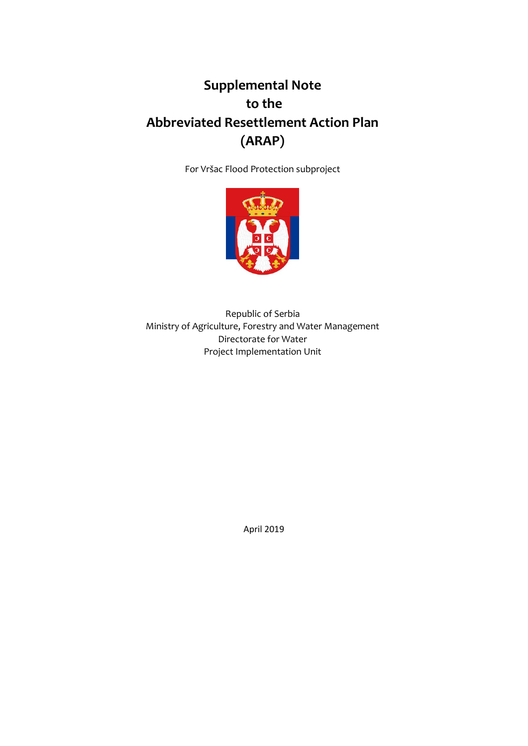# **Supplemental Note to the Abbreviated Resettlement Action Plan (ARAP)**

For Vršac Flood Protection subproject



Republic of Serbia Ministry of Agriculture, Forestry and Water Management Directorate for Water Project Implementation Unit

April 2019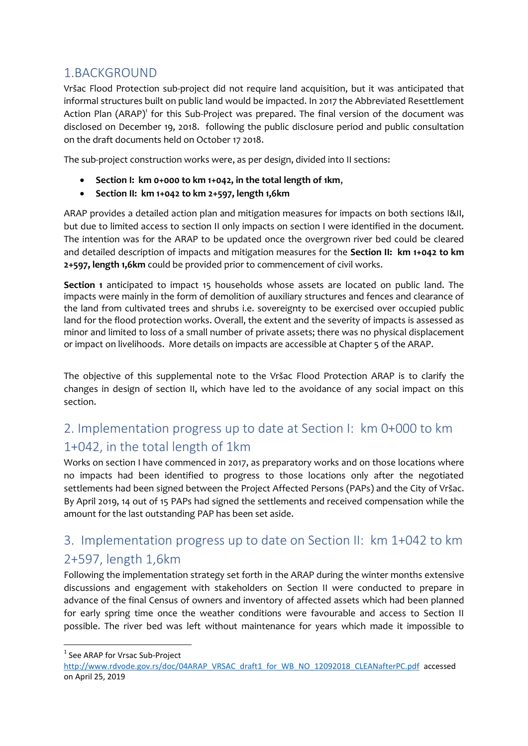#### 1.BACKGROUND

Vršac Flood Protection sub-project did not require land acquisition, but it was anticipated that informal structures built on public land would be impacted. In 2017 the Abbreviated Resettlement Action Plan (ARAP)<sup>1</sup> for this Sub-Project was prepared. The final version of the document was disclosed on December 19, 2018. following the public disclosure period and public consultation on the draft documents held on October 17 2018.

The sub-project construction works were, as per design, divided into II sections:

- **Section I: km 0+000 to km 1+042, in the total length of 1km**,
- **Section II: km 1+042 to km 2+597, length 1,6km**

ARAP provides a detailed action plan and mitigation measures for impacts on both sections I&II, but due to limited access to section II only impacts on section I were identified in the document. The intention was for the ARAP to be updated once the overgrown river bed could be cleared and detailed description of impacts and mitigation measures for the **Section II: km 1+042 to km 2+597, length 1,6km** could be provided prior to commencement of civil works.

**Section 1** anticipated to impact 15 households whose assets are located on public land. The impacts were mainly in the form of demolition of auxiliary structures and fences and clearance of the land from cultivated trees and shrubs i.e. sovereignty to be exercised over occupied public land for the flood protection works. Overall, the extent and the severity of impacts is assessed as minor and limited to loss of a small number of private assets; there was no physical displacement or impact on livelihoods. More details on impacts are accessible at Chapter 5 of the ARAP.

The objective of this supplemental note to the Vršac Flood Protection ARAP is to clarify the changes in design of section II, which have led to the avoidance of any social impact on this section.

### 2. Implementation progress up to date at Section I: km 0+000 to km 1+042, in the total length of 1km

Works on section I have commenced in 2017, as preparatory works and on those locations where no impacts had been identified to progress to those locations only after the negotiated settlements had been signed between the Project Affected Persons (PAPs) and the City of Vršac. By April 2019, 14 out of 15 PAPs had signed the settlements and received compensation while the amount for the last outstanding PAP has been set aside.

## 3. Implementation progress up to date on Section II: km 1+042 to km 2+597, length 1,6km

Following the implementation strategy set forth in the ARAP during the winter months extensive discussions and engagement with stakeholders on Section II were conducted to prepare in advance of the final Census of owners and inventory of affected assets which had been planned for early spring time once the weather conditions were favourable and access to Section II possible. The river bed was left without maintenance for years which made it impossible to

**.** 

<sup>&</sup>lt;sup>1</sup> See ARAP for Vrsac Sub-Project

[http://www.rdvode.gov.rs/doc/04ARAP\\_VRSAC\\_draft1\\_for\\_WB\\_NO\\_12092018\\_CLEANafterPC.pdf](http://www.rdvode.gov.rs/doc/04ARAP_VRSAC_draft1_for_WB_NO_12092018_CLEANafterPC.pdf) accessed on April 25, 2019